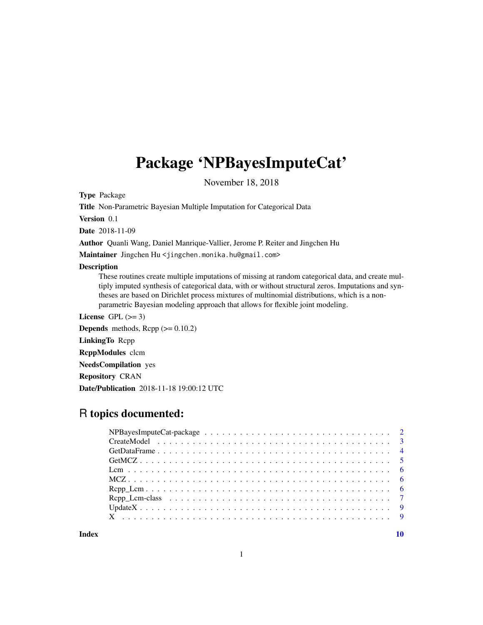## <span id="page-0-0"></span>Package 'NPBayesImputeCat'

November 18, 2018

Type Package

Title Non-Parametric Bayesian Multiple Imputation for Categorical Data

Version 0.1

Date 2018-11-09

Author Quanli Wang, Daniel Manrique-Vallier, Jerome P. Reiter and Jingchen Hu

Maintainer Jingchen Hu <jingchen.monika.hu@gmail.com>

#### Description

These routines create multiple imputations of missing at random categorical data, and create multiply imputed synthesis of categorical data, with or without structural zeros. Imputations and syntheses are based on Dirichlet process mixtures of multinomial distributions, which is a nonparametric Bayesian modeling approach that allows for flexible joint modeling.

License GPL  $(>= 3)$ 

**Depends** methods,  $\text{Rcpp} (> = 0.10.2)$ 

LinkingTo Rcpp

RcppModules clcm

NeedsCompilation yes

Repository CRAN

Date/Publication 2018-11-18 19:00:12 UTC

### R topics documented:

 $\blacksquare$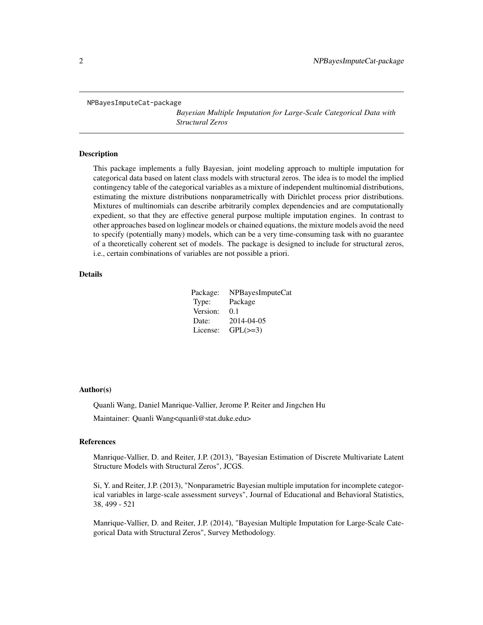<span id="page-1-0"></span>NPBayesImputeCat-package

*Bayesian Multiple Imputation for Large-Scale Categorical Data with Structural Zeros*

#### Description

This package implements a fully Bayesian, joint modeling approach to multiple imputation for categorical data based on latent class models with structural zeros. The idea is to model the implied contingency table of the categorical variables as a mixture of independent multinomial distributions, estimating the mixture distributions nonparametrically with Dirichlet process prior distributions. Mixtures of multinomials can describe arbitrarily complex dependencies and are computationally expedient, so that they are effective general purpose multiple imputation engines. In contrast to other approaches based on loglinear models or chained equations, the mixture models avoid the need to specify (potentially many) models, which can be a very time-consuming task with no guarantee of a theoretically coherent set of models. The package is designed to include for structural zeros, i.e., certain combinations of variables are not possible a priori.

#### Details

| Package: | NPBayesImputeCat |
|----------|------------------|
| Type:    | Package          |
| Version: | 0.1              |
| Date:    | 2014-04-05       |
| License: | $GPL(\geq=3)$    |

#### Author(s)

Quanli Wang, Daniel Manrique-Vallier, Jerome P. Reiter and Jingchen Hu

Maintainer: Quanli Wang<quanli@stat.duke.edu>

#### References

Manrique-Vallier, D. and Reiter, J.P. (2013), "Bayesian Estimation of Discrete Multivariate Latent Structure Models with Structural Zeros", JCGS.

Si, Y. and Reiter, J.P. (2013), "Nonparametric Bayesian multiple imputation for incomplete categorical variables in large-scale assessment surveys", Journal of Educational and Behavioral Statistics, 38, 499 - 521

Manrique-Vallier, D. and Reiter, J.P. (2014), "Bayesian Multiple Imputation for Large-Scale Categorical Data with Structural Zeros", Survey Methodology.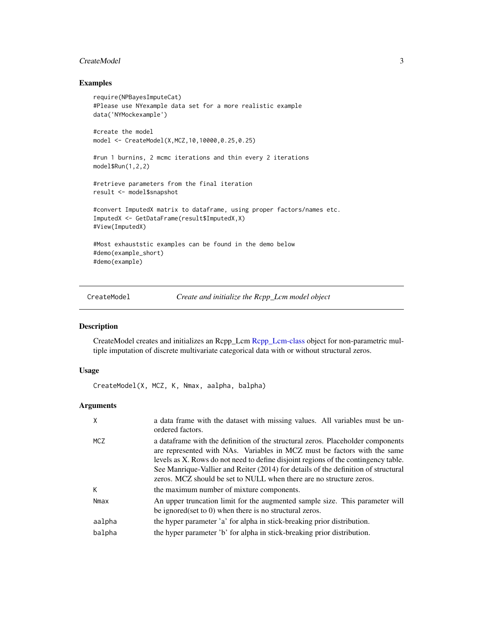#### <span id="page-2-0"></span>CreateModel 3

#### Examples

```
require(NPBayesImputeCat)
#Please use NYexample data set for a more realistic example
data('NYMockexample')
#create the model
model <- CreateModel(X,MCZ,10,10000,0.25,0.25)
#run 1 burnins, 2 mcmc iterations and thin every 2 iterations
model$Run(1,2,2)
#retrieve parameters from the final iteration
result <- model$snapshot
#convert ImputedX matrix to dataframe, using proper factors/names etc.
ImputedX <- GetDataFrame(result$ImputedX,X)
#View(ImputedX)
#Most exhauststic examples can be found in the demo below
#demo(example_short)
#demo(example)
```
<span id="page-2-1"></span>

CreateModel *Create and initialize the Rcpp\_Lcm model object*

#### Description

CreateModel creates and initializes an Rcpp\_Lcm [Rcpp\\_Lcm-class](#page-6-1) object for non-parametric multiple imputation of discrete multivariate categorical data with or without structural zeros.

#### Usage

CreateModel(X, MCZ, K, Nmax, aalpha, balpha)

#### Arguments

|            | a data frame with the dataset with missing values. All variables must be un-<br>ordered factors.                                                                                                                                                                                                                                                                                                                |
|------------|-----------------------------------------------------------------------------------------------------------------------------------------------------------------------------------------------------------------------------------------------------------------------------------------------------------------------------------------------------------------------------------------------------------------|
| <b>MCZ</b> | a data frame with the definition of the structural zeros. Placeholder components<br>are represented with NAs. Variables in MCZ must be factors with the same<br>levels as X. Rows do not need to define disjoint regions of the contingency table.<br>See Manrique-Vallier and Reiter (2014) for details of the definition of structural<br>zeros. MCZ should be set to NULL when there are no structure zeros. |
| К          | the maximum number of mixture components.                                                                                                                                                                                                                                                                                                                                                                       |
| Nmax       | An upper truncation limit for the augmented sample size. This parameter will<br>be ignored (set to 0) when there is no structural zeros.                                                                                                                                                                                                                                                                        |
| aalpha     | the hyper parameter 'a' for alpha in stick-breaking prior distribution.                                                                                                                                                                                                                                                                                                                                         |
| balpha     | the hyper parameter 'b' for alpha in stick-breaking prior distribution.                                                                                                                                                                                                                                                                                                                                         |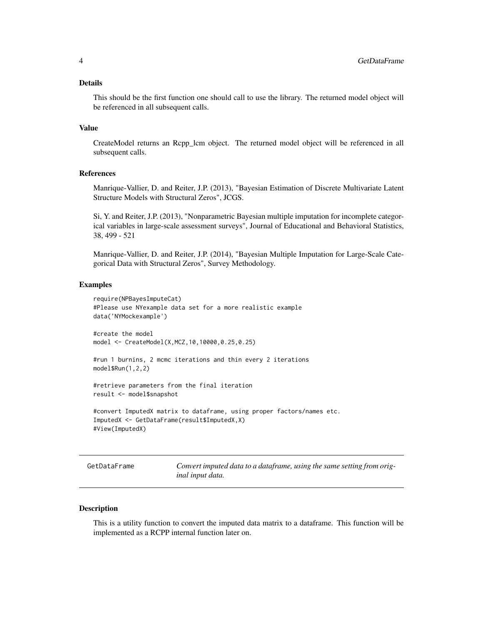#### <span id="page-3-0"></span>Details

This should be the first function one should call to use the library. The returned model object will be referenced in all subsequent calls.

#### Value

CreateModel returns an Rcpp\_lcm object. The returned model object will be referenced in all subsequent calls.

#### References

Manrique-Vallier, D. and Reiter, J.P. (2013), "Bayesian Estimation of Discrete Multivariate Latent Structure Models with Structural Zeros", JCGS.

Si, Y. and Reiter, J.P. (2013), "Nonparametric Bayesian multiple imputation for incomplete categorical variables in large-scale assessment surveys", Journal of Educational and Behavioral Statistics, 38, 499 - 521

Manrique-Vallier, D. and Reiter, J.P. (2014), "Bayesian Multiple Imputation for Large-Scale Categorical Data with Structural Zeros", Survey Methodology.

#### Examples

```
require(NPBayesImputeCat)
#Please use NYexample data set for a more realistic example
data('NYMockexample')
#create the model
```

```
#run 1 burnins, 2 mcmc iterations and thin every 2 iterations
model$Run(1,2,2)
```

```
#retrieve parameters from the final iteration
result <- model$snapshot
```
model <- CreateModel(X,MCZ,10,10000,0.25,0.25)

```
#convert ImputedX matrix to dataframe, using proper factors/names etc.
ImputedX <- GetDataFrame(result$ImputedX,X)
#View(ImputedX)
```
<span id="page-3-1"></span>GetDataFrame *Convert imputed data to a dataframe, using the same setting from original input data.*

#### **Description**

This is a utility function to convert the imputed data matrix to a dataframe. This function will be implemented as a RCPP internal function later on.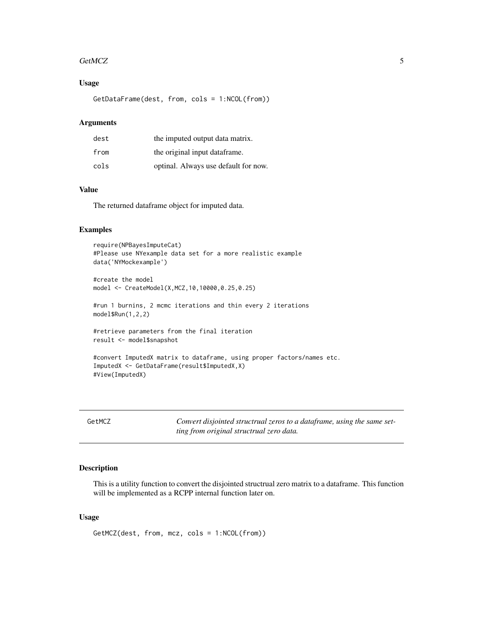#### <span id="page-4-0"></span>GetMCZ 5

#### Usage

GetDataFrame(dest, from, cols = 1:NCOL(from))

#### Arguments

| dest | the imputed output data matrix.      |
|------|--------------------------------------|
| from | the original input data frame.       |
| cols | optinal. Always use default for now. |

#### Value

The returned dataframe object for imputed data.

#### Examples

```
require(NPBayesImputeCat)
#Please use NYexample data set for a more realistic example
data('NYMockexample')
#create the model
model <- CreateModel(X,MCZ,10,10000,0.25,0.25)
#run 1 burnins, 2 mcmc iterations and thin every 2 iterations
model$Run(1,2,2)
#retrieve parameters from the final iteration
result <- model$snapshot
```

```
#convert ImputedX matrix to dataframe, using proper factors/names etc.
ImputedX <- GetDataFrame(result$ImputedX,X)
#View(ImputedX)
```

| GetMCZ | Convert disjointed structrual zeros to a dataframe, using the same set- |
|--------|-------------------------------------------------------------------------|
|        | ting from original structrual zero data.                                |

#### Description

This is a utility function to convert the disjointed structrual zero matrix to a dataframe. This function will be implemented as a RCPP internal function later on.

#### Usage

```
GetMCZ(dest, from, mcz, cols = 1:NCOL(from))
```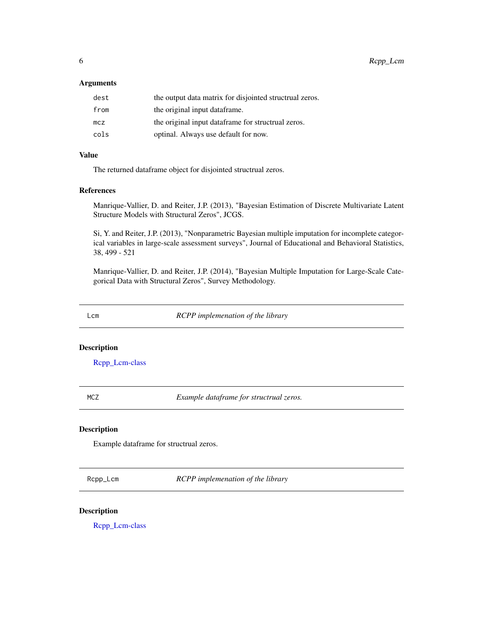<span id="page-5-0"></span>6 Rcpp\_Lcm

#### Arguments

| dest | the output data matrix for disjointed structrual zeros. |
|------|---------------------------------------------------------|
| from | the original input dataframe.                           |
| mcz  | the original input dataframe for structrual zeros.      |
| cols | optinal. Always use default for now.                    |

#### Value

The returned dataframe object for disjointed structrual zeros.

#### References

Manrique-Vallier, D. and Reiter, J.P. (2013), "Bayesian Estimation of Discrete Multivariate Latent Structure Models with Structural Zeros", JCGS.

Si, Y. and Reiter, J.P. (2013), "Nonparametric Bayesian multiple imputation for incomplete categorical variables in large-scale assessment surveys", Journal of Educational and Behavioral Statistics, 38, 499 - 521

Manrique-Vallier, D. and Reiter, J.P. (2014), "Bayesian Multiple Imputation for Large-Scale Categorical Data with Structural Zeros", Survey Methodology.

Lcm *RCPP implemenation of the library*

#### Description

[Rcpp\\_Lcm-class](#page-6-1)

| л. | ۰.<br>×<br>۰<br>۰. |
|----|--------------------|
|    | M.<br>۰.           |

MCZ *Example dataframe for structrual zeros.*

#### Description

Example dataframe for structrual zeros.

Rcpp\_Lcm *RCPP implemenation of the library*

#### Description

[Rcpp\\_Lcm-class](#page-6-1)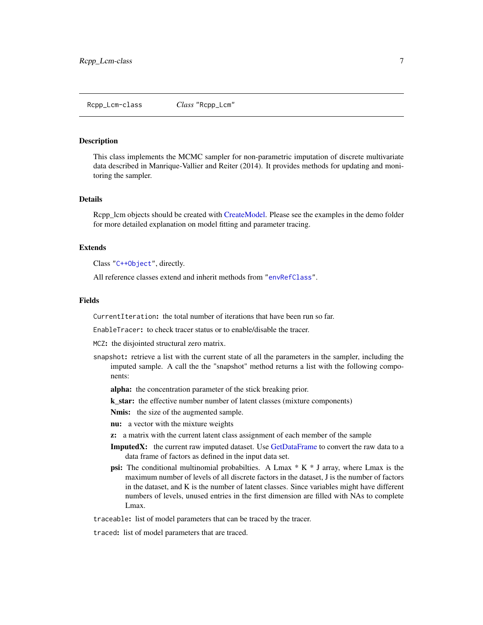#### <span id="page-6-1"></span><span id="page-6-0"></span>Description

This class implements the MCMC sampler for non-parametric imputation of discrete multivariate data described in Manrique-Vallier and Reiter (2014). It provides methods for updating and monitoring the sampler.

#### Details

Rcpp\_lcm objects should be created with [CreateModel.](#page-2-1) Please see the examples in the demo folder for more detailed explanation on model fitting and parameter tracing.

#### Extends

Class ["C++Object"](#page-0-0), directly.

All reference classes extend and inherit methods from ["envRefClass"](#page-0-0).

#### Fields

CurrentIteration: the total number of iterations that have been run so far.

EnableTracer: to check tracer status or to enable/disable the tracer.

MCZ: the disjointed structural zero matrix.

- snapshot: retrieve a list with the current state of all the parameters in the sampler, including the imputed sample. A call the the "snapshot" method returns a list with the following components:
	- alpha: the concentration parameter of the stick breaking prior.
	- k\_star: the effective number number of latent classes (mixture components)

Nmis: the size of the augmented sample.

nu: a vector with the mixture weights

- z: a matrix with the current latent class assignment of each member of the sample
- ImputedX: the current raw imputed dataset. Use [GetDataFrame](#page-3-1) to convert the raw data to a data frame of factors as defined in the input data set.
- **psi:** The conditional multinomial probabilties. A Lmax  $*$  K  $*$  J array, where Lmax is the maximum number of levels of all discrete factors in the dataset, J is the number of factors in the dataset, and K is the number of latent classes. Since variables might have different numbers of levels, unused entries in the first dimension are filled with NAs to complete Lmax.

traceable: list of model parameters that can be traced by the tracer.

traced: list of model parameters that are traced.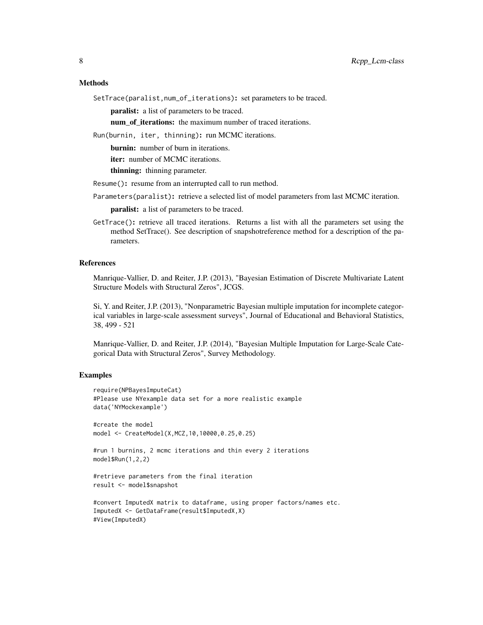#### **Methods**

SetTrace(paralist,num\_of\_iterations): set parameters to be traced.

paralist: a list of parameters to be traced.

num\_of\_iterations: the maximum number of traced iterations.

Run(burnin, iter, thinning): run MCMC iterations.

burnin: number of burn in iterations.

iter: number of MCMC iterations.

thinning: thinning parameter.

Resume(): resume from an interrupted call to run method.

Parameters(paralist): retrieve a selected list of model parameters from last MCMC iteration.

paralist: a list of parameters to be traced.

GetTrace(): retrieve all traced iterations. Returns a list with all the parameters set using the method SetTrace(). See description of snapshotreference method for a description of the parameters.

#### References

Manrique-Vallier, D. and Reiter, J.P. (2013), "Bayesian Estimation of Discrete Multivariate Latent Structure Models with Structural Zeros", JCGS.

Si, Y. and Reiter, J.P. (2013), "Nonparametric Bayesian multiple imputation for incomplete categorical variables in large-scale assessment surveys", Journal of Educational and Behavioral Statistics, 38, 499 - 521

Manrique-Vallier, D. and Reiter, J.P. (2014), "Bayesian Multiple Imputation for Large-Scale Categorical Data with Structural Zeros", Survey Methodology.

#### Examples

```
require(NPBayesImputeCat)
#Please use NYexample data set for a more realistic example
data('NYMockexample')
```

```
#create the model
model <- CreateModel(X,MCZ,10,10000,0.25,0.25)
```

```
#run 1 burnins, 2 mcmc iterations and thin every 2 iterations
model$Run(1,2,2)
```

```
#retrieve parameters from the final iteration
result <- model$snapshot
```

```
#convert ImputedX matrix to dataframe, using proper factors/names etc.
ImputedX <- GetDataFrame(result$ImputedX,X)
#View(ImputedX)
```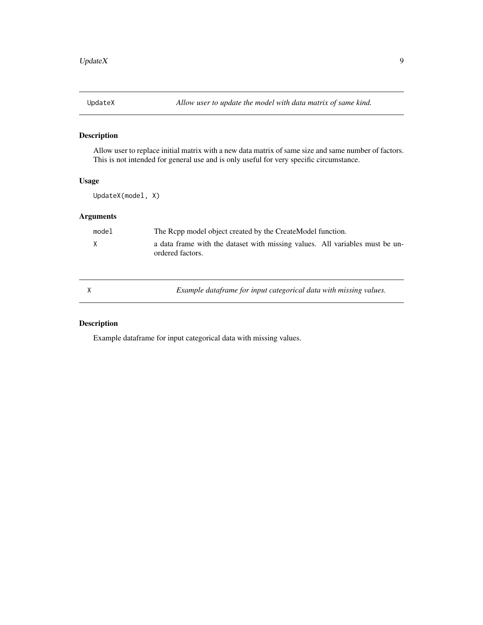<span id="page-8-0"></span>

#### Description

Allow user to replace initial matrix with a new data matrix of same size and same number of factors. This is not intended for general use and is only useful for very specific circumstance.

#### Usage

UpdateX(model, X)

#### Arguments

| model | The Repp model object created by the CreateModel function.                                       |  |  |
|-------|--------------------------------------------------------------------------------------------------|--|--|
| X     | a data frame with the dataset with missing values. All variables must be un-<br>ordered factors. |  |  |
|       |                                                                                                  |  |  |

X *Example dataframe for input categorical data with missing values.*

#### Description

Example dataframe for input categorical data with missing values.